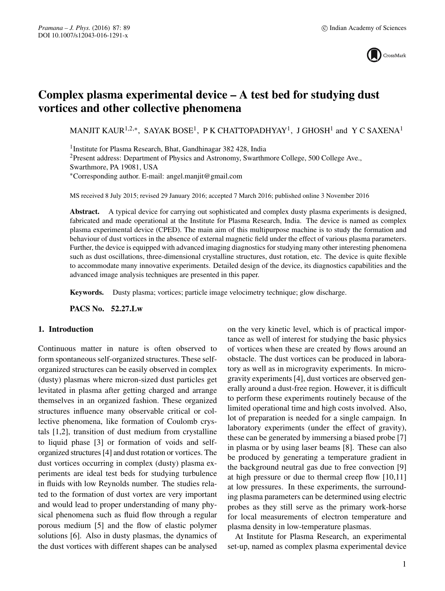

# **Complex plasma experimental device – A test bed for studying dust vortices and other collective phenomena**

MANJIT KAUR<sup>1,2,∗</sup>, SAYAK BOSE<sup>1</sup>, P K CHATTOPADHYAY<sup>1</sup>, J GHOSH<sup>1</sup> and Y C SAXENA<sup>1</sup>

<sup>1</sup>Institute for Plasma Research, Bhat, Gandhinagar 382 428, India <sup>2</sup>Present address: Department of Physics and Astronomy, Swarthmore College, 500 College Ave., Swarthmore, PA 19081, USA ∗Corresponding author. E-mail: angel.manjit@gmail.com

MS received 8 July 2015; revised 29 January 2016; accepted 7 March 2016; published online 3 November 2016

**Abstract.** A typical device for carrying out sophisticated and complex dusty plasma experiments is designed, fabricated and made operational at the Institute for Plasma Research, India. The device is named as complex plasma experimental device (CPED). The main aim of this multipurpose machine is to study the formation and behaviour of dust vortices in the absence of external magnetic field under the effect of various plasma parameters. Further, the device is equipped with advanced imaging diagnostics for studying many other interesting phenomena such as dust oscillations, three-dimensional crystalline structures, dust rotation, etc. The device is quite flexible to accommodate many innovative experiments. Detailed design of the device, its diagnostics capabilities and the advanced image analysis techniques are presented in this paper.

**Keywords.** Dusty plasma; vortices; particle image velocimetry technique; glow discharge.

**PACS No. 52.27.Lw**

# **1. Introduction**

Continuous matter in nature is often observed to form spontaneous self-organized structures. These selforganized structures can be easily observed in complex (dusty) plasmas where micron-sized dust particles get levitated in plasma after getting charged and arrange themselves in an organized fashion. These organized structures influence many observable critical or collective phenomena, like formation of Coulomb crystals [1,2], transition of dust medium from crystalline to liquid phase [3] or formation of voids and selforganized structures [4] and dust rotation or vortices. The dust vortices occurring in complex (dusty) plasma experiments are ideal test beds for studying turbulence in fluids with low Reynolds number. The studies related to the formation of dust vortex are very important and would lead to proper understanding of many physical phenomena such as fluid flow through a regular porous medium [5] and the flow of elastic polymer solutions [6]. Also in dusty plasmas, the dynamics of the dust vortices with different shapes can be analysed on the very kinetic level, which is of practical importance as well of interest for studying the basic physics of vortices when these are created by flows around an obstacle. The dust vortices can be produced in laboratory as well as in microgravity experiments. In microgravity experiments [4], dust vortices are observed generally around a dust-free region. However, it is difficult to perform these experiments routinely because of the limited operational time and high costs involved. Also, lot of preparation is needed for a single campaign. In laboratory experiments (under the effect of gravity), these can be generated by immersing a biased probe [7] in plasma or by using laser beams [8]. These can also be produced by generating a temperature gradient in the background neutral gas due to free convection [9] at high pressure or due to thermal creep flow [10,11] at low pressures. In these experiments, the surrounding plasma parameters can be determined using electric probes as they still serve as the primary work-horse for local measurements of electron temperature and plasma density in low-temperature plasmas.

At Institute for Plasma Research, an experimental set-up, named as complex plasma experimental device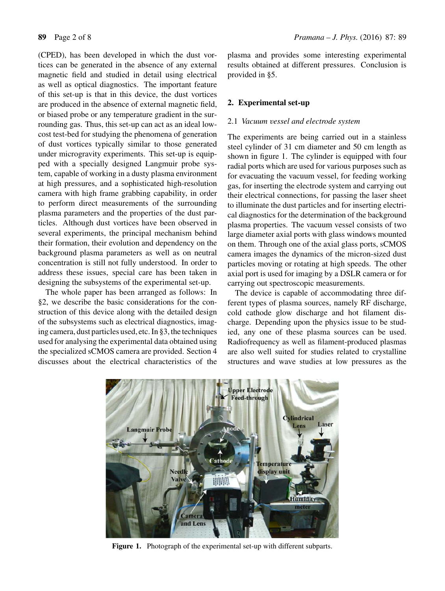(CPED), has been developed in which the dust vortices can be generated in the absence of any external magnetic field and studied in detail using electrical as well as optical diagnostics. The important feature of this set-up is that in this device, the dust vortices are produced in the absence of external magnetic field, or biased probe or any temperature gradient in the surrounding gas. Thus, this set-up can act as an ideal lowcost test-bed for studying the phenomena of generation of dust vortices typically similar to those generated under microgravity experiments. This set-up is equipped with a specially designed Langmuir probe system, capable of working in a dusty plasma environment at high pressures, and a sophisticated high-resolution camera with high frame grabbing capability, in order to perform direct measurements of the surrounding plasma parameters and the properties of the dust particles. Although dust vortices have been observed in several experiments, the principal mechanism behind their formation, their evolution and dependency on the background plasma parameters as well as on neutral concentration is still not fully understood. In order to address these issues, special care has been taken in designing the subsystems of the experimental set-up.

The whole paper has been arranged as follows: In §2, we describe the basic considerations for the construction of this device along with the detailed design of the subsystems such as electrical diagnostics, imaging camera, dust particles used, etc. In §3, the techniques used for analysing the experimental data obtained using the specialized sCMOS camera are provided. Section 4 discusses about the electrical characteristics of the plasma and provides some interesting experimental results obtained at different pressures. Conclusion is provided in §5.

# **2. Experimental set-up**

# 2.1 *Vacuum* v*essel and electrode system*

The experiments are being carried out in a stainless steel cylinder of 31 cm diameter and 50 cm length as shown in figure 1. The cylinder is equipped with four radial ports which are used for various purposes such as for evacuating the vacuum vessel, for feeding working gas, for inserting the electrode system and carrying out their electrical connections, for passing the laser sheet to illuminate the dust particles and for inserting electrical diagnostics for the determination of the background plasma properties. The vacuum vessel consists of two large diameter axial ports with glass windows mounted on them. Through one of the axial glass ports, sCMOS camera images the dynamics of the micron-sized dust particles moving or rotating at high speeds. The other axial port is used for imaging by a DSLR camera or for carrying out spectroscopic measurements.

The device is capable of accommodating three different types of plasma sources, namely RF discharge, cold cathode glow discharge and hot filament discharge. Depending upon the physics issue to be studied, any one of these plasma sources can be used. Radiofrequency as well as filament-produced plasmas are also well suited for studies related to crystalline structures and wave studies at low pressures as the



**Figure 1.** Photograph of the experimental set-up with different subparts.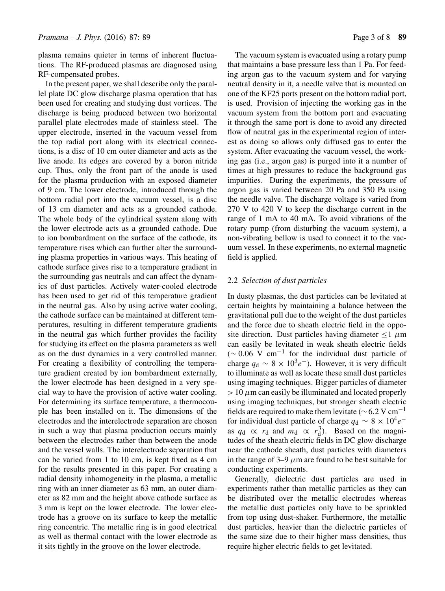plasma remains quieter in terms of inherent fluctuations. The RF-produced plasmas are diagnosed using RF-compensated probes.

In the present paper, we shall describe only the parallel plate DC glow discharge plasma operation that has been used for creating and studying dust vortices. The discharge is being produced between two horizontal parallel plate electrodes made of stainless steel. The upper electrode, inserted in the vacuum vessel from the top radial port along with its electrical connections, is a disc of 10 cm outer diameter and acts as the live anode. Its edges are covered by a boron nitride cup. Thus, only the front part of the anode is used for the plasma production with an exposed diameter of 9 cm. The lower electrode, introduced through the bottom radial port into the vacuum vessel, is a disc of 13 cm diameter and acts as a grounded cathode. The whole body of the cylindrical system along with the lower electrode acts as a grounded cathode. Due to ion bombardment on the surface of the cathode, its temperature rises which can further alter the surrounding plasma properties in various ways. This heating of cathode surface gives rise to a temperature gradient in the surrounding gas neutrals and can affect the dynamics of dust particles. Actively water-cooled electrode has been used to get rid of this temperature gradient in the neutral gas. Also by using active water cooling, the cathode surface can be maintained at different temperatures, resulting in different temperature gradients in the neutral gas which further provides the facility for studying its effect on the plasma parameters as well as on the dust dynamics in a very controlled manner. For creating a flexibility of controlling the temperature gradient created by ion bombardment externally, the lower electrode has been designed in a very special way to have the provision of active water cooling. For determining its surface temperature, a thermocouple has been installed on it. The dimensions of the electrodes and the interelectrode separation are chosen in such a way that plasma production occurs mainly between the electrodes rather than between the anode and the vessel walls. The interelectrode separation that can be varied from 1 to 10 cm, is kept fixed as 4 cm for the results presented in this paper. For creating a radial density inhomogeneity in the plasma, a metallic ring with an inner diameter as 63 mm, an outer diameter as 82 mm and the height above cathode surface as 3 mm is kept on the lower electrode. The lower electrode has a groove on its surface to keep the metallic ring concentric. The metallic ring is in good electrical as well as thermal contact with the lower electrode as it sits tightly in the groove on the lower electrode.

The vacuum system is evacuated using a rotary pump that maintains a base pressure less than 1 Pa. For feeding argon gas to the vacuum system and for varying neutral density in it, a needle valve that is mounted on one of the KF25 ports present on the bottom radial port, is used. Provision of injecting the working gas in the vacuum system from the bottom port and evacuating it through the same port is done to avoid any directed flow of neutral gas in the experimental region of interest as doing so allows only diffused gas to enter the system. After evacuating the vacuum vessel, the working gas (i.e., argon gas) is purged into it a number of times at high pressures to reduce the background gas impurities. During the experiments, the pressure of argon gas is varied between 20 Pa and 350 Pa using the needle valve. The discharge voltage is varied from 270 V to 420 V to keep the discharge current in the range of 1 mA to 40 mA. To avoid vibrations of the rotary pump (from disturbing the vacuum system), a non-vibrating bellow is used to connect it to the vacuum vessel. In these experiments, no external magnetic field is applied.

# 2.2 *Selection of dust particles*

In dusty plasmas, the dust particles can be levitated at certain heights by maintaining a balance between the gravitational pull due to the weight of the dust particles and the force due to sheath electric field in the opposite direction. Dust particles having diameter  $\leq 1$   $\mu$ m can easily be levitated in weak sheath electric fields  $({\sim}0.06 \text{ V cm}^{-1}$  for the individual dust particle of charge  $q_d \sim 8 \times 10^3 e^{-}$ ). However, it is very difficult to illuminate as well as locate these small dust particles using imaging techniques. Bigger particles of diameter  $>10 \mu$ m can easily be illuminated and located properly using imaging techniques, but stronger sheath electric fields are required to make them levitate ( $\sim$  6.2 V cm<sup>-1</sup> for individual dust particle of charge  $q_d \sim 8 \times 10^4 e^{-}$ as  $q_d \propto r_d$  and  $m_d \propto r_d^3$ ). Based on the magnitudes of the sheath electric fields in DC glow discharge near the cathode sheath, dust particles with diameters in the range of 3–9  $\mu$ m are found to be best suitable for conducting experiments.

Generally, dielectric dust particles are used in experiments rather than metallic particles as they can be distributed over the metallic electrodes whereas the metallic dust particles only have to be sprinkled from top using dust-shaker. Furthermore, the metallic dust particles, heavier than the dielectric particles of the same size due to their higher mass densities, thus require higher electric fields to get levitated.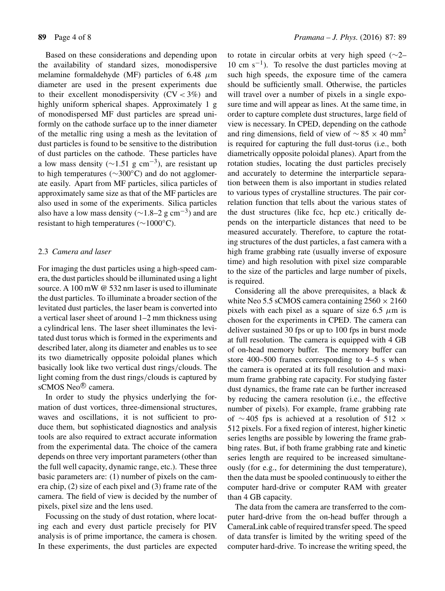Based on these considerations and depending upon the availability of standard sizes, monodispersive melamine formaldehyde (MF) particles of 6.48  $\mu$ m diameter are used in the present experiments due to their excellent monodispersivity  $(CV < 3\%)$  and highly uniform spherical shapes. Approximately 1 g of monodispersed MF dust particles are spread uniformly on the cathode surface up to the inner diameter of the metallic ring using a mesh as the levitation of dust particles is found to be sensitive to the distribution of dust particles on the cathode. These particles have a low mass density ( $\sim$ 1.51 g cm<sup>-3</sup>), are resistant up to high temperatures (∼300◦C) and do not agglomerate easily. Apart from MF particles, silica particles of approximately same size as that of the MF particles are also used in some of the experiments. Silica particles also have a low mass density ( $\sim$ 1.8–2 g cm<sup>-3</sup>) and are resistant to high temperatures (∼1000◦C).

## 2.3 *Camera and laser*

For imaging the dust particles using a high-speed camera, the dust particles should be illuminated using a light source. A 100 mW @ 532 nm laser is used to illuminate the dust particles. To illuminate a broader section of the levitated dust particles, the laser beam is converted into a vertical laser sheet of around 1–2 mm thickness using a cylindrical lens. The laser sheet illuminates the levitated dust torus which is formed in the experiments and described later, along its diameter and enables us to see its two diametrically opposite poloidal planes which basically look like two vertical dust rings/clouds. The light coming from the dust rings/clouds is captured by sCMOS Neo<sup>®</sup> camera.

In order to study the physics underlying the formation of dust vortices, three-dimensional structures, waves and oscillations, it is not sufficient to produce them, but sophisticated diagnostics and analysis tools are also required to extract accurate information from the experimental data. The choice of the camera depends on three very important parameters (other than the full well capacity, dynamic range, etc.). These three basic parameters are: (1) number of pixels on the camera chip, (2) size of each pixel and (3) frame rate of the camera. The field of view is decided by the number of pixels, pixel size and the lens used.

Focussing on the study of dust rotation, where locating each and every dust particle precisely for PIV analysis is of prime importance, the camera is chosen. In these experiments, the dust particles are expected to rotate in circular orbits at very high speed (∼2–  $10 \text{ cm s}^{-1}$ ). To resolve the dust particles moving at such high speeds, the exposure time of the camera should be sufficiently small. Otherwise, the particles will travel over a number of pixels in a single exposure time and will appear as lines. At the same time, in order to capture complete dust structures, large field of view is necessary. In CPED, depending on the cathode and ring dimensions, field of view of  $\sim$  85  $\times$  40 mm<sup>2</sup> is required for capturing the full dust-torus (i.e., both diametrically opposite poloidal planes). Apart from the rotation studies, locating the dust particles precisely and accurately to determine the interparticle separation between them is also important in studies related to various types of crystalline structures. The pair correlation function that tells about the various states of the dust structures (like fcc, hcp etc.) critically depends on the interparticle distances that need to be measured accurately. Therefore, to capture the rotating structures of the dust particles, a fast camera with a high frame grabbing rate (usually inverse of exposure time) and high resolution with pixel size comparable to the size of the particles and large number of pixels, is required.

Considering all the above prerequisites, a black & white Neo 5.5 sCMOS camera containing  $2560 \times 2160$ pixels with each pixel as a square of size 6.5  $\mu$ m is chosen for the experiments in CPED. The camera can deliver sustained 30 fps or up to 100 fps in burst mode at full resolution. The camera is equipped with 4 GB of on-head memory buffer. The memory buffer can store 400–500 frames corresponding to 4–5 s when the camera is operated at its full resolution and maximum frame grabbing rate capacity. For studying faster dust dynamics, the frame rate can be further increased by reducing the camera resolution (i.e., the effective number of pixels). For example, frame grabbing rate of  $\sim$  405 fps is achieved at a resolution of 512  $\times$ 512 pixels. For a fixed region of interest, higher kinetic series lengths are possible by lowering the frame grabbing rates. But, if both frame grabbing rate and kinetic series length are required to be increased simultaneously (for e.g., for determining the dust temperature), then the data must be spooled continuously to either the computer hard-drive or computer RAM with greater than 4 GB capacity.

The data from the camera are transferred to the computer hard-drive from the on-head buffer through a CameraLink cable of required transfer speed. The speed of data transfer is limited by the writing speed of the computer hard-drive. To increase the writing speed, the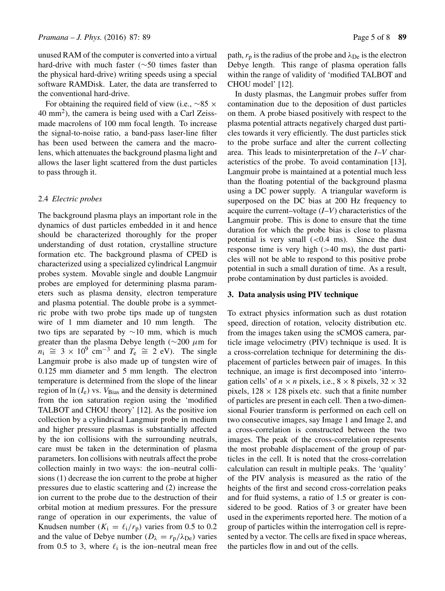unused RAM of the computer is converted into a virtual hard-drive with much faster (∼50 times faster than the physical hard-drive) writing speeds using a special software RAMDisk. Later, the data are transferred to the conventional hard-drive.

For obtaining the required field of view (i.e.,  $\sim$ 85  $\times$ 40 mm2), the camera is being used with a Carl Zeissmade macrolens of 100 mm focal length. To increase the signal-to-noise ratio, a band-pass laser-line filter has been used between the camera and the macrolens, which attenuates the background plasma light and allows the laser light scattered from the dust particles to pass through it.

#### 2.4 *Electric probes*

The background plasma plays an important role in the dynamics of dust particles embedded in it and hence should be characterized thoroughly for the proper understanding of dust rotation, crystalline structure formation etc. The background plasma of CPED is characterized using a specialized cylindrical Langmuir probes system. Movable single and double Langmuir probes are employed for determining plasma parameters such as plasma density, electron temperature and plasma potential. The double probe is a symmetric probe with two probe tips made up of tungsten wire of 1 mm diameter and 10 mm length. The two tips are separated by ∼10 mm, which is much greater than the plasma Debye length ( $\sim$ 200  $\mu$ m for  $n_1 \cong 3 \times 10^9$  cm<sup>-3</sup> and  $T_e \cong 2$  eV). The single Langmuir probe is also made up of tungsten wire of 0.125 mm diameter and 5 mm length. The electron temperature is determined from the slope of the linear region of  $ln(I_e)$  vs.  $V_{Bias}$  and the density is determined from the ion saturation region using the 'modified TALBOT and CHOU theory' [12]. As the positive ion collection by a cylindrical Langmuir probe in medium and higher pressure plasmas is substantially affected by the ion collisions with the surrounding neutrals, care must be taken in the determination of plasma parameters. Ion collisions with neutrals affect the probe collection mainly in two ways: the ion–neutral collisions (1) decrease the ion current to the probe at higher pressures due to elastic scattering and (2) increase the ion current to the probe due to the destruction of their orbital motion at medium pressures. For the pressure range of operation in our experiments, the value of Knudsen number ( $K_i = \ell_i/r_p$ ) varies from 0.5 to 0.2 and the value of Debye number ( $D_{\lambda} = r_{p}/\lambda_{De}$ ) varies from 0.5 to 3, where  $\ell_i$  is the ion–neutral mean free

path,  $r_p$  is the radius of the probe and  $\lambda_{\text{De}}$  is the electron Debye length. This range of plasma operation falls within the range of validity of 'modified TALBOT and CHOU model' [12].

In dusty plasmas, the Langmuir probes suffer from contamination due to the deposition of dust particles on them. A probe biased positively with respect to the plasma potential attracts negatively charged dust particles towards it very efficiently. The dust particles stick to the probe surface and alter the current collecting area. This leads to misinterpretation of the *I*–*V* characteristics of the probe. To avoid contamination [13], Langmuir probe is maintained at a potential much less than the floating potential of the background plasma using a DC power supply. A triangular waveform is superposed on the DC bias at 200 Hz frequency to acquire the current–voltage (*I*–*V*) characteristics of the Langmuir probe. This is done to ensure that the time duration for which the probe bias is close to plasma potential is very small  $( $0.4 \, \text{ms}$ ). Since the dust$ response time is very high  $(>40 \text{ ms})$ , the dust particles will not be able to respond to this positive probe potential in such a small duration of time. As a result, probe contamination by dust particles is avoided.

#### **3. Data analysis using PIV technique**

To extract physics information such as dust rotation speed, direction of rotation, velocity distribution etc. from the images taken using the sCMOS camera, particle image velocimetry (PIV) technique is used. It is a cross-correlation technique for determining the displacement of particles between pair of images. In this technique, an image is first decomposed into 'interrogation cells' of  $n \times n$  pixels, i.e.,  $8 \times 8$  pixels,  $32 \times 32$ pixels,  $128 \times 128$  pixels etc. such that a finite number of particles are present in each cell. Then a two-dimensional Fourier transform is performed on each cell on two consecutive images, say Image 1 and Image 2, and a cross-correlation is constructed between the two images. The peak of the cross-correlation represents the most probable displacement of the group of particles in the cell. It is noted that the cross-correlation calculation can result in multiple peaks. The 'quality' of the PIV analysis is measured as the ratio of the heights of the first and second cross-correlation peaks and for fluid systems, a ratio of 1.5 or greater is considered to be good. Ratios of 3 or greater have been used in the experiments reported here. The motion of a group of particles within the interrogation cell is represented by a vector. The cells are fixed in space whereas, the particles flow in and out of the cells.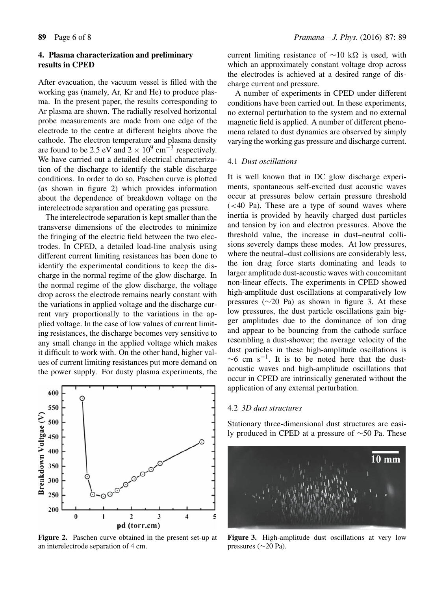# **4. Plasma characterization and preliminary results in CPED**

After evacuation, the vacuum vessel is filled with the working gas (namely, Ar, Kr and He) to produce plasma. In the present paper, the results corresponding to Ar plasma are shown. The radially resolved horizontal probe measurements are made from one edge of the electrode to the centre at different heights above the cathode. The electron temperature and plasma density are found to be 2.5 eV and  $2 \times 10^9$  cm<sup>-3</sup> respectively. We have carried out a detailed electrical characterization of the discharge to identify the stable discharge conditions. In order to do so, Paschen curve is plotted (as shown in figure 2) which provides information about the dependence of breakdown voltage on the interelectrode separation and operating gas pressure.

The interelectrode separation is kept smaller than the transverse dimensions of the electrodes to minimize the fringing of the electric field between the two electrodes. In CPED, a detailed load-line analysis using different current limiting resistances has been done to identify the experimental conditions to keep the discharge in the normal regime of the glow discharge. In the normal regime of the glow discharge, the voltage drop across the electrode remains nearly constant with the variations in applied voltage and the discharge current vary proportionally to the variations in the applied voltage. In the case of low values of current limiting resistances, the discharge becomes very sensitive to any small change in the applied voltage which makes it difficult to work with. On the other hand, higher values of current limiting resistances put more demand on the power supply. For dusty plasma experiments, the



**Figure 2.** Paschen curve obtained in the present set-up at an interelectrode separation of 4 cm.

current limiting resistance of  $\sim$ 10 kΩ is used, with which an approximately constant voltage drop across the electrodes is achieved at a desired range of discharge current and pressure.

A number of experiments in CPED under different conditions have been carried out. In these experiments, no external perturbation to the system and no external magnetic field is applied. A number of different phenomena related to dust dynamics are observed by simply varying the working gas pressure and discharge current.

#### 4.1 *Dust oscillations*

It is well known that in DC glow discharge experiments, spontaneous self-excited dust acoustic waves occur at pressures below certain pressure threshold  $\approx$  40 Pa). These are a type of sound waves where inertia is provided by heavily charged dust particles and tension by ion and electron pressures. Above the threshold value, the increase in dust–neutral collisions severely damps these modes. At low pressures, where the neutral–dust collisions are considerably less, the ion drag force starts dominating and leads to larger amplitude dust-acoustic waves with concomitant non-linear effects. The experiments in CPED showed high-amplitude dust oscillations at comparatively low pressures (∼20 Pa) as shown in figure 3. At these low pressures, the dust particle oscillations gain bigger amplitudes due to the dominance of ion drag and appear to be bouncing from the cathode surface resembling a dust-shower; the average velocity of the dust particles in these high-amplitude oscillations is  $\sim$ 6 cm s<sup>-1</sup>. It is to be noted here that the dustacoustic waves and high-amplitude oscillations that occur in CPED are intrinsically generated without the application of any external perturbation.

# 4.2 *3D dust structures*

Stationary three-dimensional dust structures are easily produced in CPED at a pressure of ∼50 Pa. These



**Figure 3.** High-amplitude dust oscillations at very low pressures (∼20 Pa).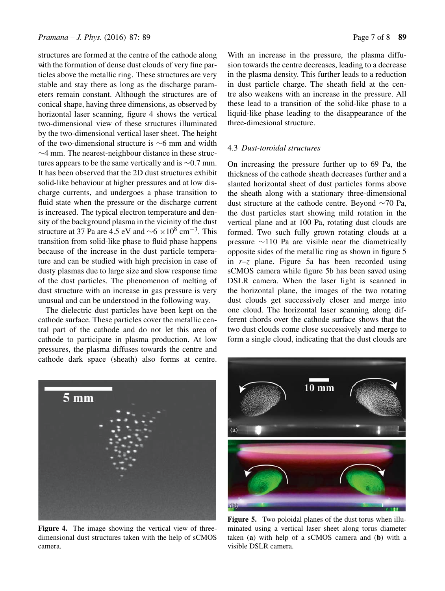structures are formed at the centre of the cathode along with the formation of dense dust clouds of very fine particles above the metallic ring. These structures are very stable and stay there as long as the discharge parameters remain constant. Although the structures are of conical shape, having three dimensions, as observed by horizontal laser scanning, figure 4 shows the vertical two-dimensional view of these structures illuminated by the two-dimensional vertical laser sheet. The height of the two-dimensional structure is ∼6 mm and width ∼4 mm. The nearest-neighbour distance in these structures appears to be the same vertically and is ∼0.7 mm. It has been observed that the 2D dust structures exhibit solid-like behaviour at higher pressures and at low discharge currents, and undergoes a phase transition to fluid state when the pressure or the discharge current is increased. The typical electron temperature and density of the background plasma in the vicinity of the dust structure at 37 Pa are 4.5 eV and  $\sim$ 6 ×10<sup>8</sup> cm<sup>-3</sup>. This transition from solid-like phase to fluid phase happens because of the increase in the dust particle temperature and can be studied with high precision in case of dusty plasmas due to large size and slow response time of the dust particles. The phenomenon of melting of dust structure with an increase in gas pressure is very unusual and can be understood in the following way.

The dielectric dust particles have been kept on the cathode surface. These particles cover the metallic central part of the cathode and do not let this area of cathode to participate in plasma production. At low pressures, the plasma diffuses towards the centre and cathode dark space (sheath) also forms at centre. With an increase in the pressure, the plasma diffusion towards the centre decreases, leading to a decrease in the plasma density. This further leads to a reduction in dust particle charge. The sheath field at the centre also weakens with an increase in the pressure. All these lead to a transition of the solid-like phase to a liquid-like phase leading to the disappearance of the three-dimesional structure.

#### 4.3 *Dust-toroidal structures*

On increasing the pressure further up to 69 Pa, the thickness of the cathode sheath decreases further and a slanted horizontal sheet of dust particles forms above the sheath along with a stationary three-dimensional dust structure at the cathode centre. Beyond ∼70 Pa, the dust particles start showing mild rotation in the vertical plane and at 100 Pa, rotating dust clouds are formed. Two such fully grown rotating clouds at a pressure ∼110 Pa are visible near the diametrically opposite sides of the metallic ring as shown in figure 5 in *r*–*z* plane. Figure 5a has been recorded using sCMOS camera while figure 5b has been saved using DSLR camera. When the laser light is scanned in the horizontal plane, the images of the two rotating dust clouds get successively closer and merge into one cloud. The horizontal laser scanning along different chords over the cathode surface shows that the two dust clouds come close successively and merge to form a single cloud, indicating that the dust clouds are



**Figure 4.** The image showing the vertical view of threedimensional dust structures taken with the help of sCMOS camera.



**Figure 5.** Two poloidal planes of the dust torus when illuminated using a vertical laser sheet along torus diameter taken (**a**) with help of a sCMOS camera and (**b**) with a visible DSLR camera.